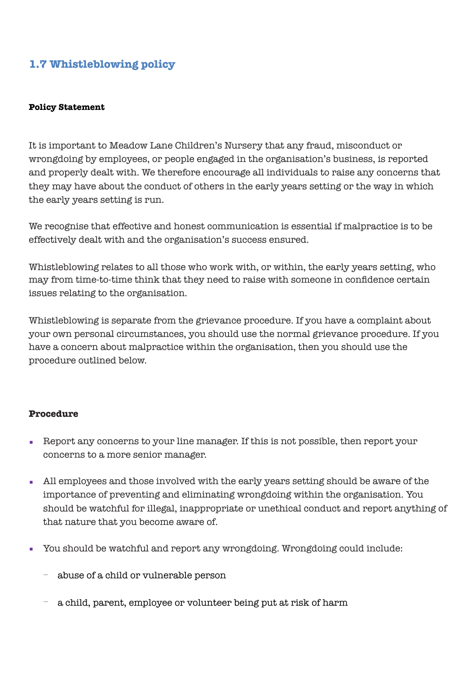# **1.7 Whistleblowing policy**

#### **Policy Statement**

It is important to Meadow Lane Children's Nursery that any fraud, misconduct or wrongdoing by employees, or people engaged in the organisation's business, is reported and properly dealt with. We therefore encourage all individuals to raise any concerns that they may have about the conduct of others in the early years setting or the way in which the early years setting is run.

We recognise that effective and honest communication is essential if malpractice is to be effectively dealt with and the organisation's success ensured.

Whistleblowing relates to all those who work with, or within, the early years setting, who may from time-to-time think that they need to raise with someone in confidence certain issues relating to the organisation.

Whistleblowing is separate from the grievance procedure. If you have a complaint about your own personal circumstances, you should use the normal grievance procedure. If you have a concern about malpractice within the organisation, then you should use the procedure outlined below.

#### **Procedure**

- Report any concerns to your line manager. If this is not possible, then report your concerns to a more senior manager.
- All employees and those involved with the early years setting should be aware of the importance of preventing and eliminating wrongdoing within the organisation. You should be watchful for illegal, inappropriate or unethical conduct and report anything of that nature that you become aware of.
- You should be watchful and report any wrongdoing. Wrongdoing could include:
	- − abuse of a child or vulnerable person
	- a child, parent, employee or volunteer being put at risk of harm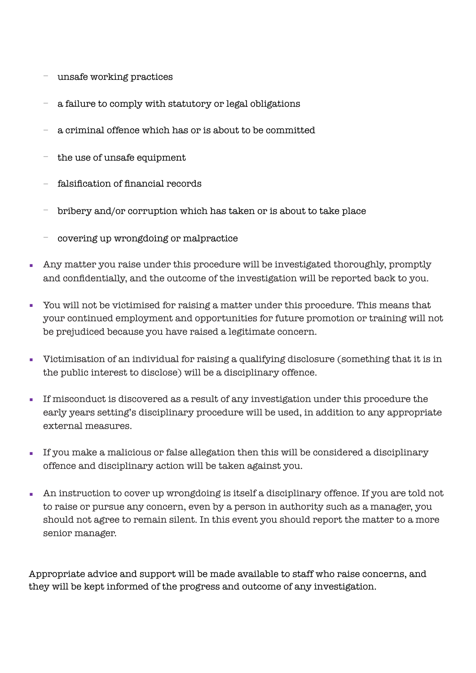- − unsafe working practices
- a failure to comply with statutory or legal obligations
- − a criminal offence which has or is about to be committed
- − the use of unsafe equipment
- − falsification of financial records
- − bribery and/or corruption which has taken or is about to take place
- − covering up wrongdoing or malpractice
- Any matter you raise under this procedure will be investigated thoroughly, promptly and confidentially, and the outcome of the investigation will be reported back to you.
- You will not be victimised for raising a matter under this procedure. This means that your continued employment and opportunities for future promotion or training will not be prejudiced because you have raised a legitimate concern.
- Victimisation of an individual for raising a qualifying disclosure (something that it is in the public interest to disclose) will be a disciplinary offence.
- If misconduct is discovered as a result of any investigation under this procedure the early years setting's disciplinary procedure will be used, in addition to any appropriate external measures.
- If you make a malicious or false allegation then this will be considered a disciplinary offence and disciplinary action will be taken against you.
- An instruction to cover up wrongdoing is itself a disciplinary offence. If you are told not to raise or pursue any concern, even by a person in authority such as a manager, you should not agree to remain silent. In this event you should report the matter to a more senior manager.

Appropriate advice and support will be made available to staff who raise concerns, and they will be kept informed of the progress and outcome of any investigation.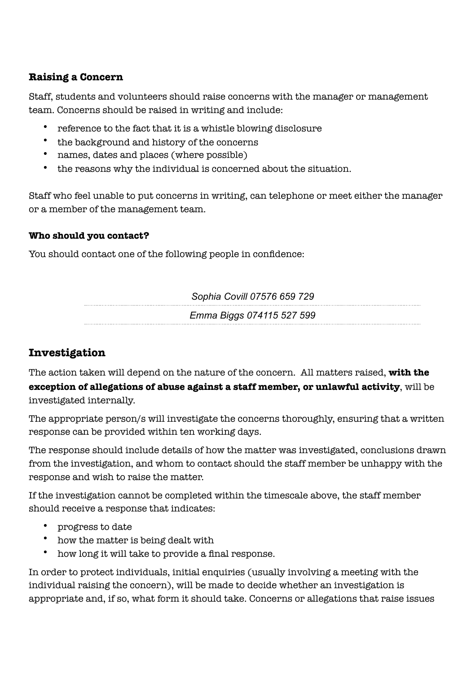## **Raising a Concern**

Staff, students and volunteers should raise concerns with the manager or management team. Concerns should be raised in writing and include:

- reference to the fact that it is a whistle blowing disclosure
- the background and history of the concerns
- names, dates and places (where possible)
- the reasons why the individual is concerned about the situation.

Staff who feel unable to put concerns in writing, can telephone or meet either the manager or a member of the management team.

### **Who should you contact?**

You should contact one of the following people in confidence:

*Sophia Covill 07576 659 729*

*Emma Biggs 074115 527 599*

# **Investigation**

The action taken will depend on the nature of the concern. All matters raised, **with the exception of allegations of abuse against a staff member, or unlawful activity**, will be investigated internally.

The appropriate person/s will investigate the concerns thoroughly, ensuring that a written response can be provided within ten working days.

The response should include details of how the matter was investigated, conclusions drawn from the investigation, and whom to contact should the staff member be unhappy with the response and wish to raise the matter.

If the investigation cannot be completed within the timescale above, the staff member should receive a response that indicates:

- progress to date
- how the matter is being dealt with
- how long it will take to provide a final response.

In order to protect individuals, initial enquiries (usually involving a meeting with the individual raising the concern), will be made to decide whether an investigation is appropriate and, if so, what form it should take. Concerns or allegations that raise issues